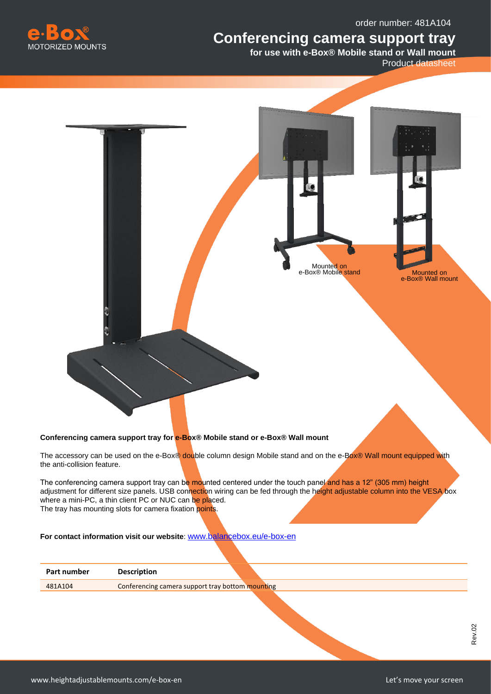order number: 481A104

## **Conferencing camera support tray**



**for use with e-Box® Mobile stand or Wall mount** 

Product datasheet



## **Conferencing camera support tray for e-Box® Mobile stand or e-Box® Wall mount**

The accessory can be used on the e-Box® double column design Mobile stand and on the e-Box® Wall mount equipped with the anti-collision feature.

The conferencing camera support tray can be mounted centered under the touch panel and has a 12" (305 mm) height adjustment for different size panels. USB connection wiring can be fed through the height adjustable column into the VESA box where a mini-PC, a thin client PC or NUC can be placed. The tray has mounting slots for camera fixation points.

**For contact information visit our website**: [www.balancebox.eu/e-box-en](http://www.balancebox.eu/e-box-en)

| Part number | <b>Description</b>                               |  |
|-------------|--------------------------------------------------|--|
| 481A104     | Conferencing camera support tray bottom mounting |  |